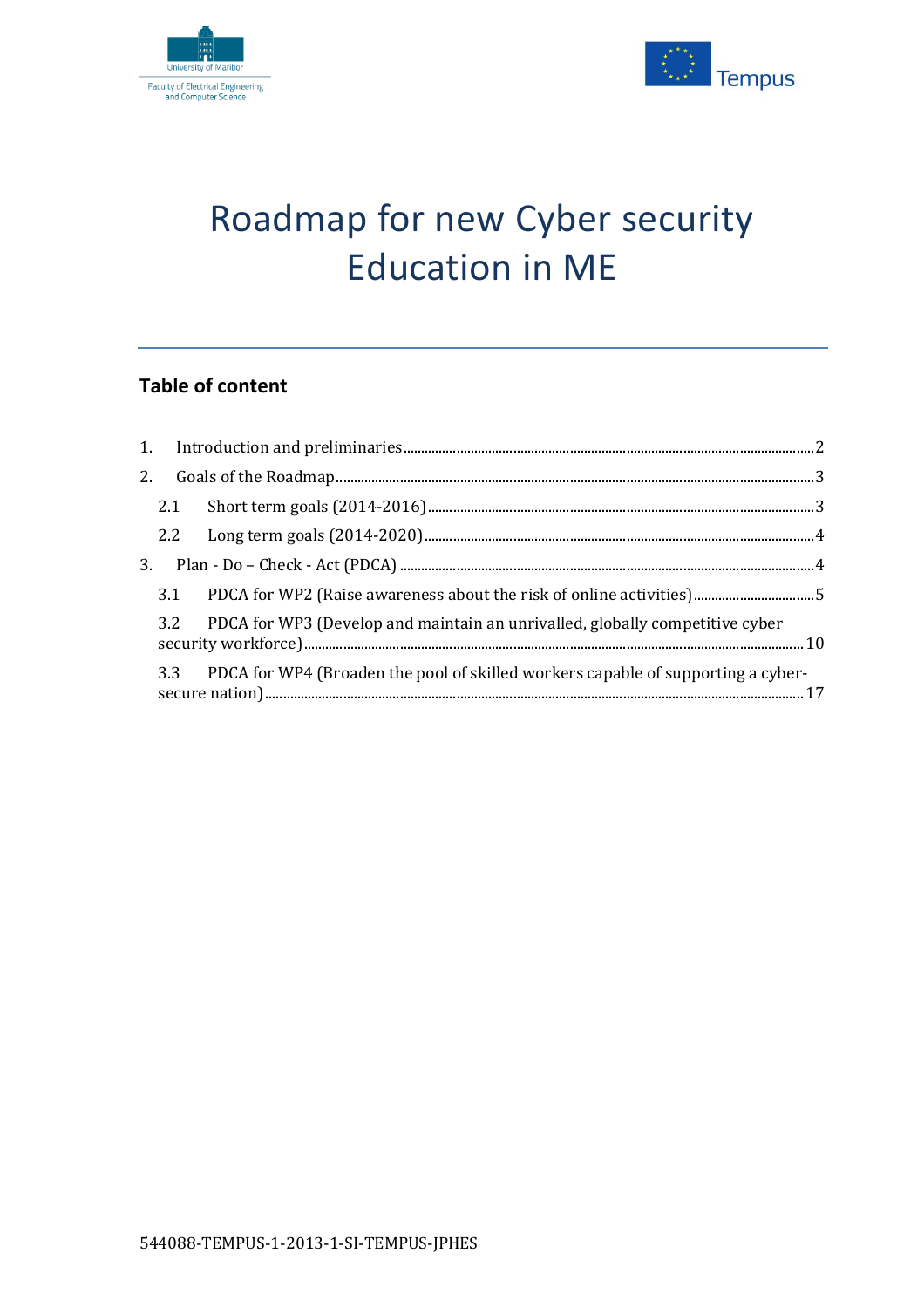



# Roadmap for new Cyber security Education in ME

## **Table of content**

| 2.1 |                                                                                      |  |
|-----|--------------------------------------------------------------------------------------|--|
|     |                                                                                      |  |
|     |                                                                                      |  |
|     |                                                                                      |  |
|     | 3.2 PDCA for WP3 (Develop and maintain an unrivalled, globally competitive cyber     |  |
|     | 3.3 PDCA for WP4 (Broaden the pool of skilled workers capable of supporting a cyber- |  |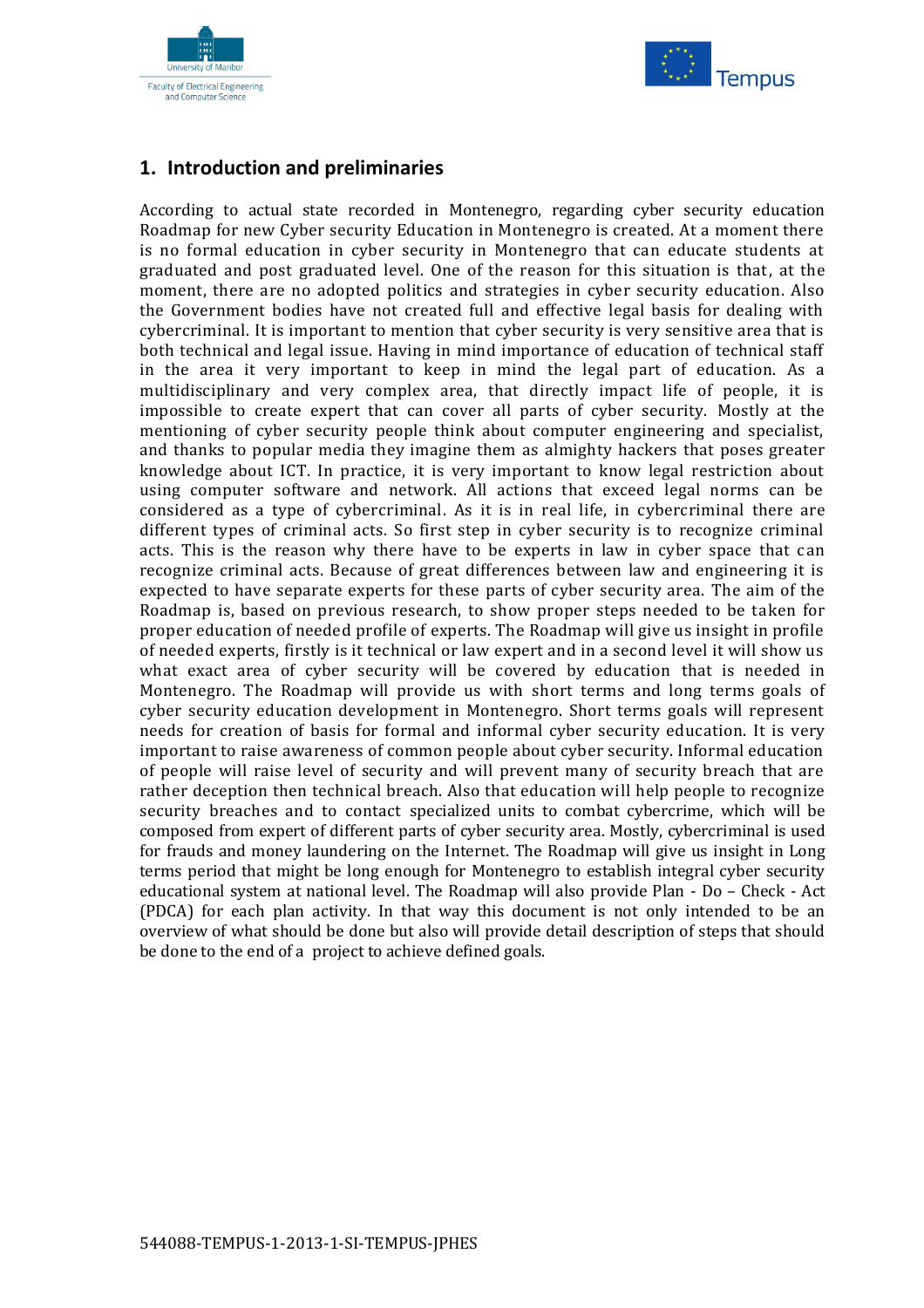



#### <span id="page-1-0"></span>**1. Introduction and preliminaries**

According to actual state recorded in Montenegro, regarding cyber security education Roadmap for new Cyber security Education in Montenegro is created. At a moment there is no formal education in cyber security in Montenegro that can educate students at graduated and post graduated level. One of the reason for this situation is that, at the moment, there are no adopted politics and strategies in cyber security education. Also the Government bodies have not created full and effective legal basis for dealing with cybercriminal. It is important to mention that cyber security is very sensitive area that is both technical and legal issue. Having in mind importance of education of technical staff in the area it very important to keep in mind the legal part of education. As a multidisciplinary and very complex area, that directly impact life of people, it is impossible to create expert that can cover all parts of cyber security. Mostly at the mentioning of cyber security people think about computer engineering and specialist, and thanks to popular media they imagine them as almighty hackers that poses greater knowledge about ICT. In practice, it is very important to know legal restriction about using computer software and network. All actions that exceed legal norms can be considered as a type of cybercriminal. As it is in real life, in cybercriminal there are different types of criminal acts. So first step in cyber security is to recognize criminal acts. This is the reason why there have to be experts in law in cyber space that can recognize criminal acts. Because of great differences between law and engineering it is expected to have separate experts for these parts of cyber security area. The aim of the Roadmap is, based on previous research, to show proper steps needed to be taken for proper education of needed profile of experts. The Roadmap will give us insight in profile of needed experts, firstly is it technical or law expert and in a second level it will show us what exact area of cyber security will be covered by education that is needed in Montenegro. The Roadmap will provide us with short terms and long terms goals of cyber security education development in Montenegro. Short terms goals will represent needs for creation of basis for formal and informal cyber security education. It is very important to raise awareness of common people about cyber security. Informal education of people will raise level of security and will prevent many of security breach that are rather deception then technical breach. Also that education will help people to recognize security breaches and to contact specialized units to combat cybercrime, which will be composed from expert of different parts of cyber security area. Mostly, cybercriminal is used for frauds and money laundering on the Internet. The Roadmap will give us insight in Long terms period that might be long enough for Montenegro to establish integral cyber security educational system at national level. The Roadmap will also provide Plan - Do – Check - Act (PDCA) for each plan activity. In that way this document is not only intended to be an overview of what should be done but also will provide detail description of steps that should be done to the end of a project to achieve defined goals.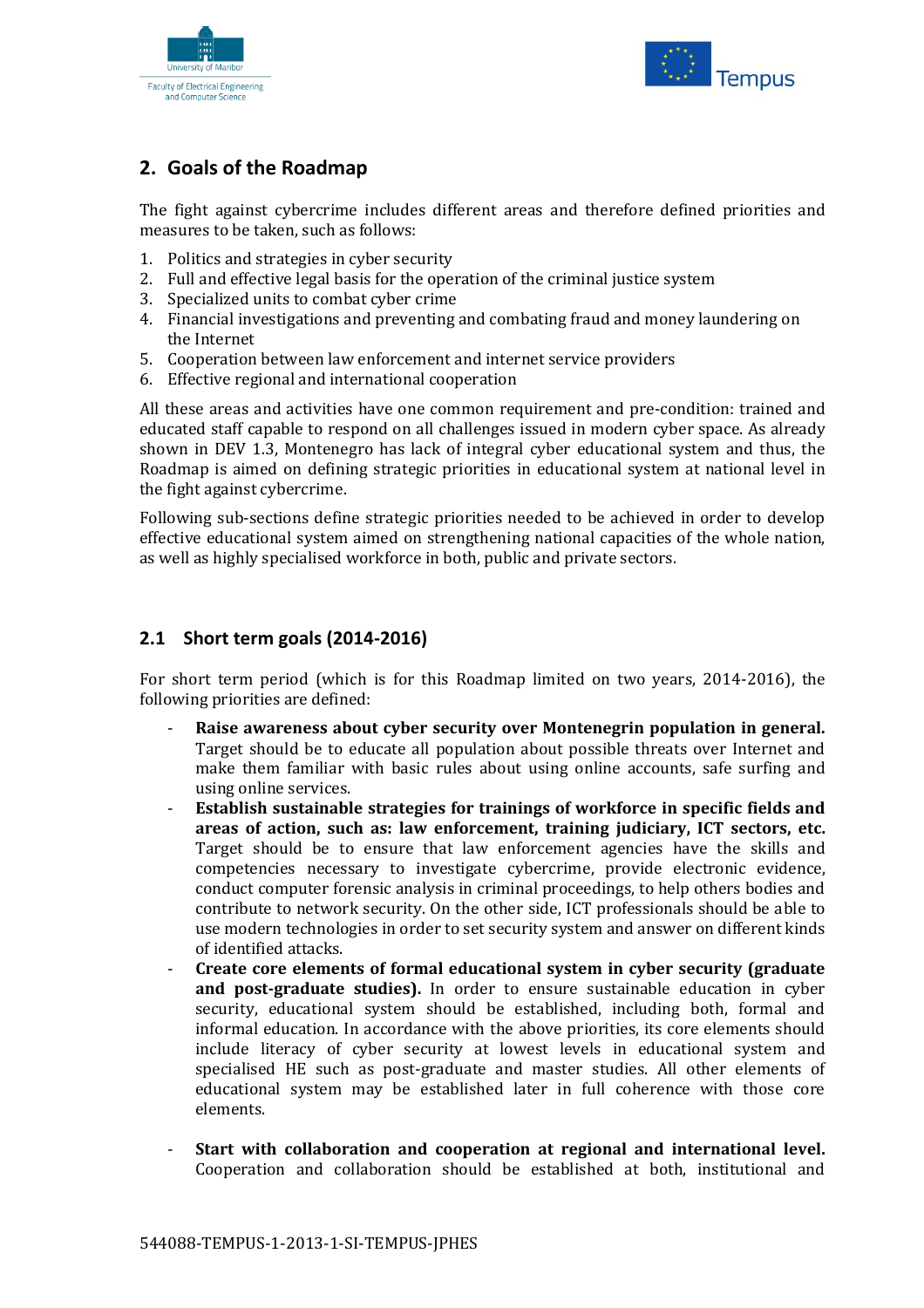



### <span id="page-2-0"></span>**2. Goals of the Roadmap**

The fight against cybercrime includes different areas and therefore defined priorities and measures to be taken, such as follows:

- 1. Politics and strategies in cyber security
- 2. Full and effective legal basis for the operation of the criminal justice system
- 3. Specialized units to combat cyber crime
- 4. Financial investigations and preventing and combating fraud and money laundering on the Internet
- 5. Cooperation between law enforcement and internet service providers
- 6. Effective regional and international cooperation

All these areas and activities have one common requirement and pre-condition: trained and educated staff capable to respond on all challenges issued in modern cyber space. As already shown in DEV 1.3, Montenegro has lack of integral cyber educational system and thus, the Roadmap is aimed on defining strategic priorities in educational system at national level in the fight against cybercrime.

Following sub-sections define strategic priorities needed to be achieved in order to develop effective educational system aimed on strengthening national capacities of the whole nation, as well as highly specialised workforce in both, public and private sectors.

#### <span id="page-2-1"></span>**2.1 Short term goals (2014-2016)**

For short term period (which is for this Roadmap limited on two years, 2014-2016), the following priorities are defined:

- **Raise awareness about cyber security over Montenegrin population in general.**  Target should be to educate all population about possible threats over Internet and make them familiar with basic rules about using online accounts, safe surfing and using online services.
- **Establish sustainable strategies for trainings of workforce in specific fields and areas of action, such as: law enforcement, training judiciary, ICT sectors, etc.** Target should be to ensure that law enforcement agencies have the skills and competencies necessary to investigate cybercrime, provide electronic evidence, conduct computer forensic analysis in criminal proceedings, to help others bodies and contribute to network security. On the other side, ICT professionals should be able to use modern technologies in order to set security system and answer on different kinds of identified attacks.
- **Create core elements of formal educational system in cyber security (graduate and post-graduate studies).** In order to ensure sustainable education in cyber security, educational system should be established, including both, formal and informal education. In accordance with the above priorities, its core elements should include literacy of cyber security at lowest levels in educational system and specialised HE such as post-graduate and master studies. All other elements of educational system may be established later in full coherence with those core elements.
- **Start with collaboration and cooperation at regional and international level.** Cooperation and collaboration should be established at both, institutional and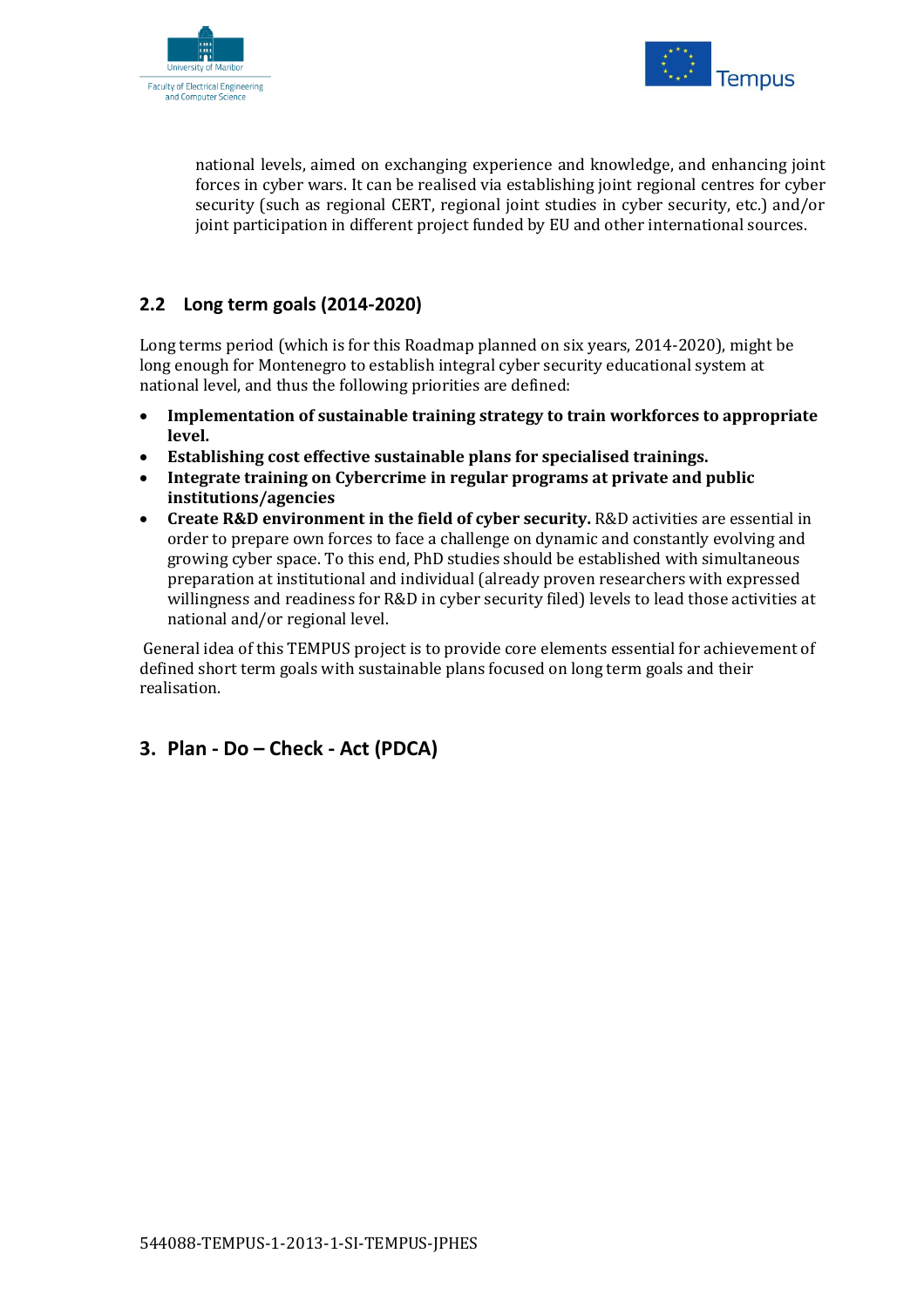



national levels, aimed on exchanging experience and knowledge, and enhancing joint forces in cyber wars. It can be realised via establishing joint regional centres for cyber security (such as regional CERT, regional joint studies in cyber security, etc.) and/or joint participation in different project funded by EU and other international sources.

#### <span id="page-3-0"></span>**2.2 Long term goals (2014-2020)**

Long terms period (which is for this Roadmap planned on six years, 2014-2020), might be long enough for Montenegro to establish integral cyber security educational system at national level, and thus the following priorities are defined:

- **Implementation of sustainable training strategy to train workforces to appropriate level.**
- **Establishing cost effective sustainable plans for specialised trainings.**
- **Integrate training on Cybercrime in regular programs at private and public institutions/agencies**
- **Create R&D environment in the field of cyber security.** R&D activities are essential in order to prepare own forces to face a challenge on dynamic and constantly evolving and growing cyber space. To this end, PhD studies should be established with simultaneous preparation at institutional and individual (already proven researchers with expressed willingness and readiness for R&D in cyber security filed) levels to lead those activities at national and/or regional level.

General idea of this TEMPUS project is to provide core elements essential for achievement of defined short term goals with sustainable plans focused on long term goals and their realisation.

#### <span id="page-3-1"></span>**3. Plan - Do – Check - Act (PDCA)**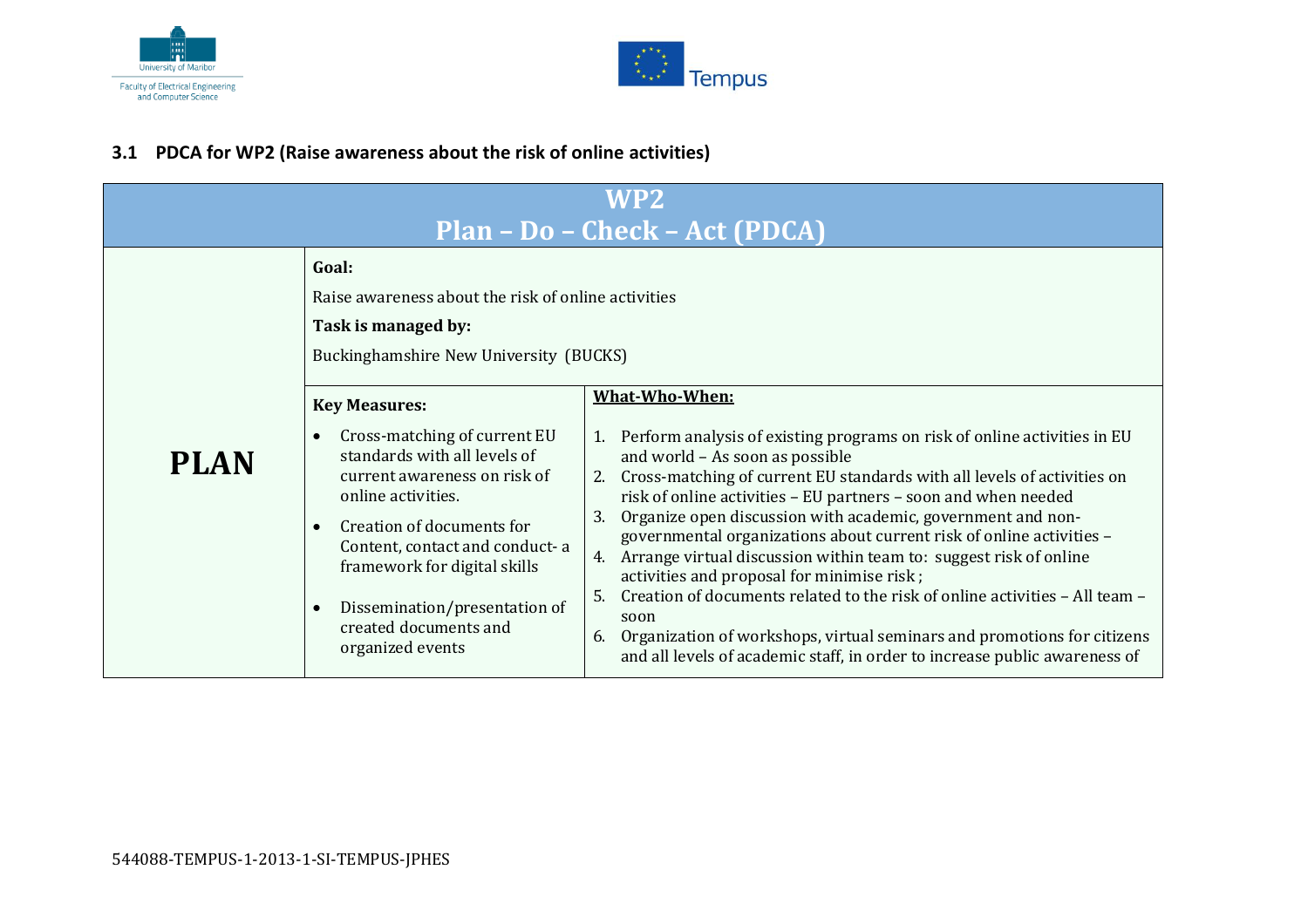



#### **3.1 PDCA for WP2 (Raise awareness about the risk of online activities)**

<span id="page-4-0"></span>

| WP2<br>Plan - Do - Check - Act (PDCA) |                                                                                                                                                                                                                                                                                                                         |                                                                                                                                                                                                                                                                                                                                                                                                                                                                                                                                                                                                                                                                                                                                                                                                                 |  |
|---------------------------------------|-------------------------------------------------------------------------------------------------------------------------------------------------------------------------------------------------------------------------------------------------------------------------------------------------------------------------|-----------------------------------------------------------------------------------------------------------------------------------------------------------------------------------------------------------------------------------------------------------------------------------------------------------------------------------------------------------------------------------------------------------------------------------------------------------------------------------------------------------------------------------------------------------------------------------------------------------------------------------------------------------------------------------------------------------------------------------------------------------------------------------------------------------------|--|
|                                       | Goal:<br>Raise awareness about the risk of online activities<br>Task is managed by:<br>Buckinghamshire New University (BUCKS)                                                                                                                                                                                           |                                                                                                                                                                                                                                                                                                                                                                                                                                                                                                                                                                                                                                                                                                                                                                                                                 |  |
| <b>PLAN</b>                           | <b>Key Measures:</b><br>Cross-matching of current EU<br>standards with all levels of<br>current awareness on risk of<br>online activities.<br>Creation of documents for<br>Content, contact and conduct-a<br>framework for digital skills<br>Dissemination/presentation of<br>created documents and<br>organized events | What-Who-When:<br>1. Perform analysis of existing programs on risk of online activities in EU<br>and world - As soon as possible<br>2. Cross-matching of current EU standards with all levels of activities on<br>risk of online activities - EU partners - soon and when needed<br>Organize open discussion with academic, government and non-<br>3.<br>governmental organizations about current risk of online activities -<br>4. Arrange virtual discussion within team to: suggest risk of online<br>activities and proposal for minimise risk;<br>Creation of documents related to the risk of online activities - All team -<br>5.<br>soon<br>Organization of workshops, virtual seminars and promotions for citizens<br>6.<br>and all levels of academic staff, in order to increase public awareness of |  |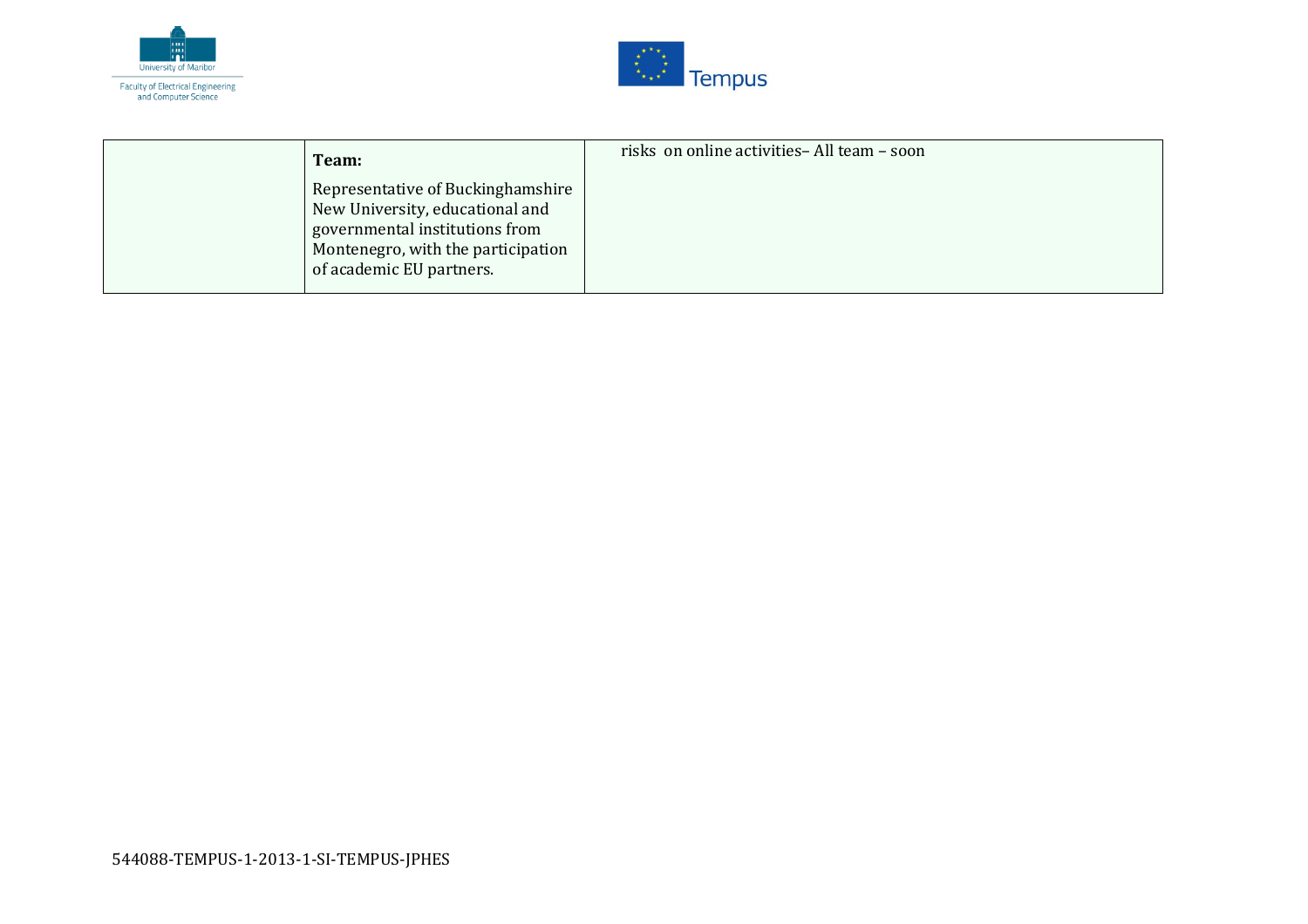



| Team:                                                                                                                                                                    | risks on online activities- All team - soon |
|--------------------------------------------------------------------------------------------------------------------------------------------------------------------------|---------------------------------------------|
| Representative of Buckinghamshire<br>New University, educational and<br>governmental institutions from<br>Montenegro, with the participation<br>of academic EU partners. |                                             |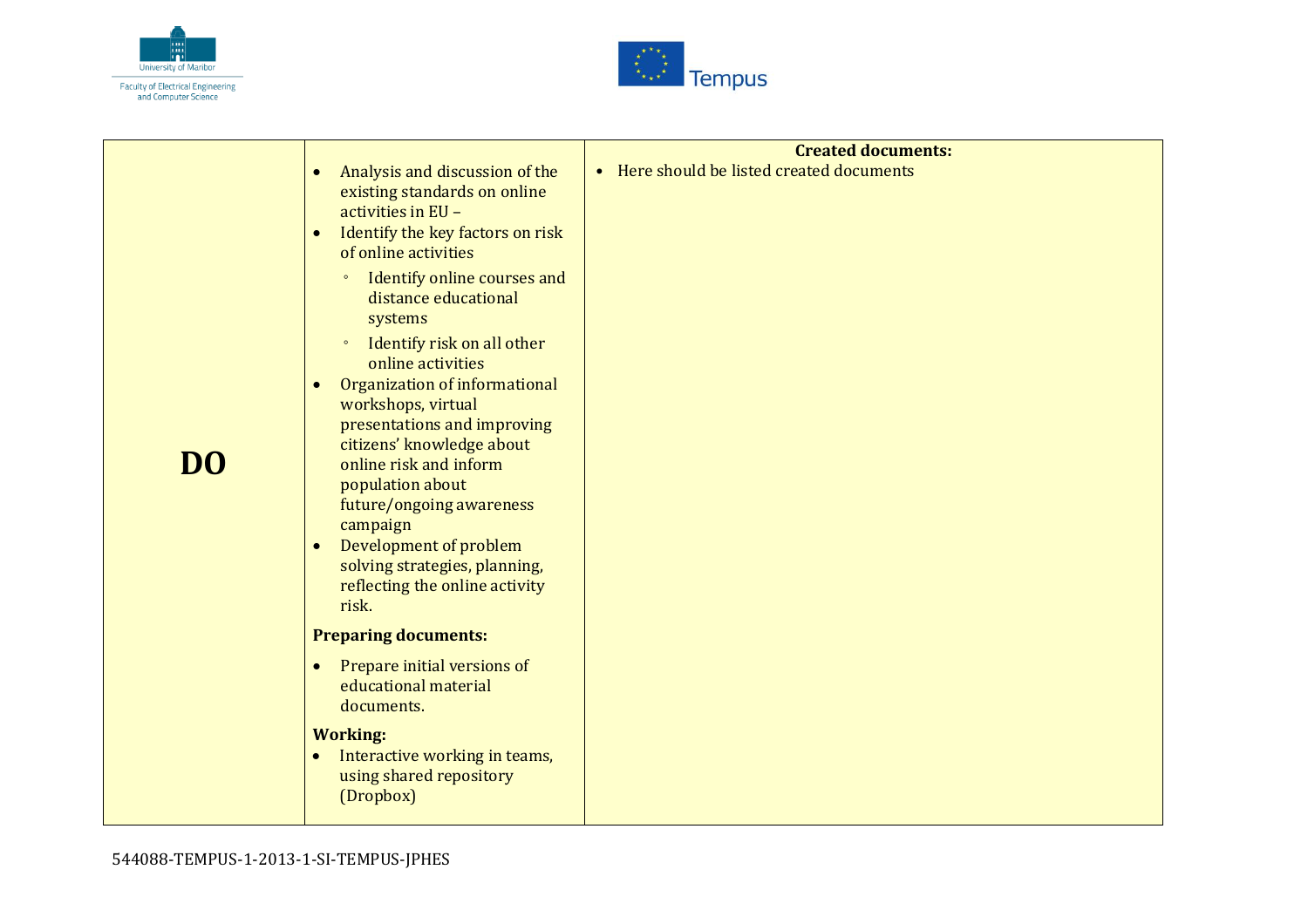



| Analysis and discussion of the<br>$\bullet$<br>existing standards on online<br>activities in EU -<br>Identify the key factors on risk<br>$\bullet$<br>of online activities<br>Identify online courses and<br>$\circ$<br>distance educational<br>systems<br>Identify risk on all other<br>$\circ$<br>online activities<br>Organization of informational<br>$\bullet$<br>workshops, virtual<br>presentations and improving<br>citizens' knowledge about<br>online risk and inform<br>population about<br>future/ongoing awareness<br>campaign<br>Development of problem<br>$\bullet$<br>solving strategies, planning,<br>reflecting the online activity<br>risk. | <b>Created documents:</b><br>• Here should be listed created documents |
|----------------------------------------------------------------------------------------------------------------------------------------------------------------------------------------------------------------------------------------------------------------------------------------------------------------------------------------------------------------------------------------------------------------------------------------------------------------------------------------------------------------------------------------------------------------------------------------------------------------------------------------------------------------|------------------------------------------------------------------------|
|                                                                                                                                                                                                                                                                                                                                                                                                                                                                                                                                                                                                                                                                |                                                                        |
| Prepare initial versions of<br>$\bullet$<br>educational material<br>documents.                                                                                                                                                                                                                                                                                                                                                                                                                                                                                                                                                                                 |                                                                        |
| <b>Working:</b><br>Interactive working in teams,<br>$\bullet$<br>using shared repository<br>(Dropbox)                                                                                                                                                                                                                                                                                                                                                                                                                                                                                                                                                          |                                                                        |
|                                                                                                                                                                                                                                                                                                                                                                                                                                                                                                                                                                                                                                                                | <b>Preparing documents:</b>                                            |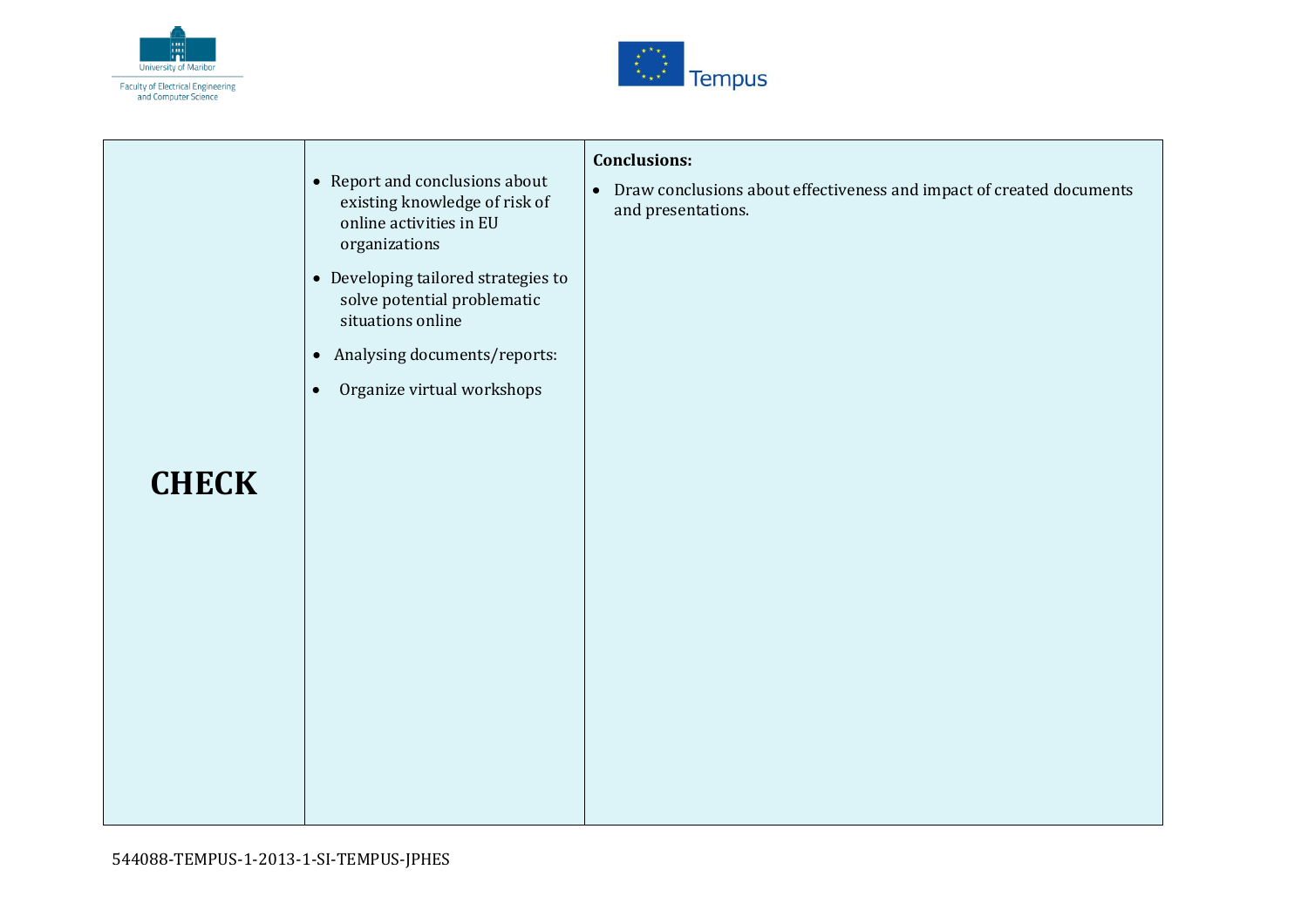



| <b>CHECK</b> | • Report and conclusions about<br>existing knowledge of risk of<br>online activities in EU<br>organizations<br>• Developing tailored strategies to<br>solve potential problematic<br>situations online<br>Analysing documents/reports:<br>$\bullet$<br>Organize virtual workshops<br>$\bullet$ | <b>Conclusions:</b><br>Draw conclusions about effectiveness and impact of created documents<br>$\bullet$<br>and presentations. |
|--------------|------------------------------------------------------------------------------------------------------------------------------------------------------------------------------------------------------------------------------------------------------------------------------------------------|--------------------------------------------------------------------------------------------------------------------------------|
|              |                                                                                                                                                                                                                                                                                                |                                                                                                                                |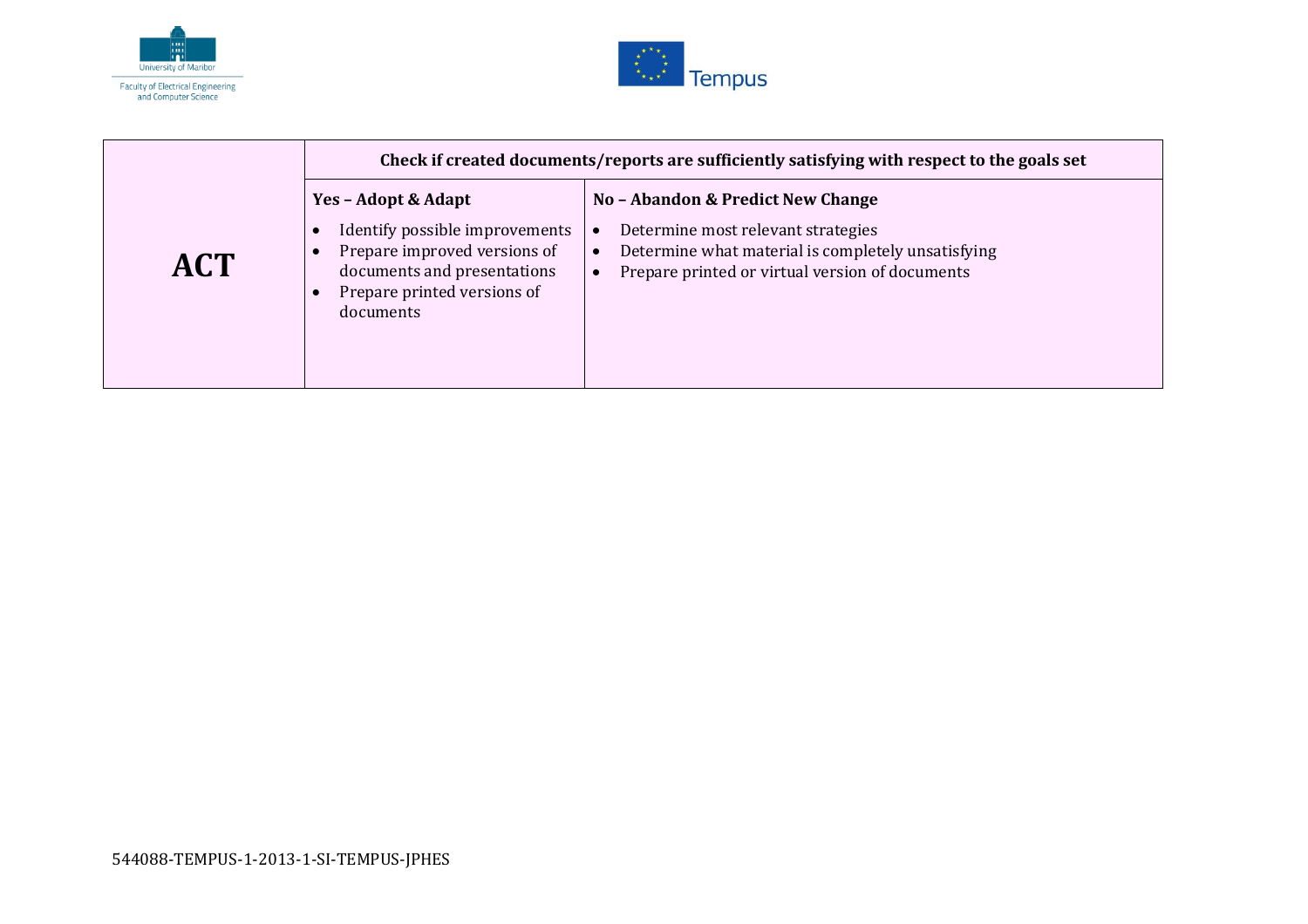



|            | Check if created documents/reports are sufficiently satisfying with respect to the goals set                                                                          |                                                                                                                                                                                  |
|------------|-----------------------------------------------------------------------------------------------------------------------------------------------------------------------|----------------------------------------------------------------------------------------------------------------------------------------------------------------------------------|
| <b>ACT</b> | Yes - Adopt & Adapt<br>Identify possible improvements<br>G<br>Prepare improved versions of<br>documents and presentations<br>Prepare printed versions of<br>documents | No - Abandon & Predict New Change<br>Determine most relevant strategies<br>Determine what material is completely unsatisfying<br>Prepare printed or virtual version of documents |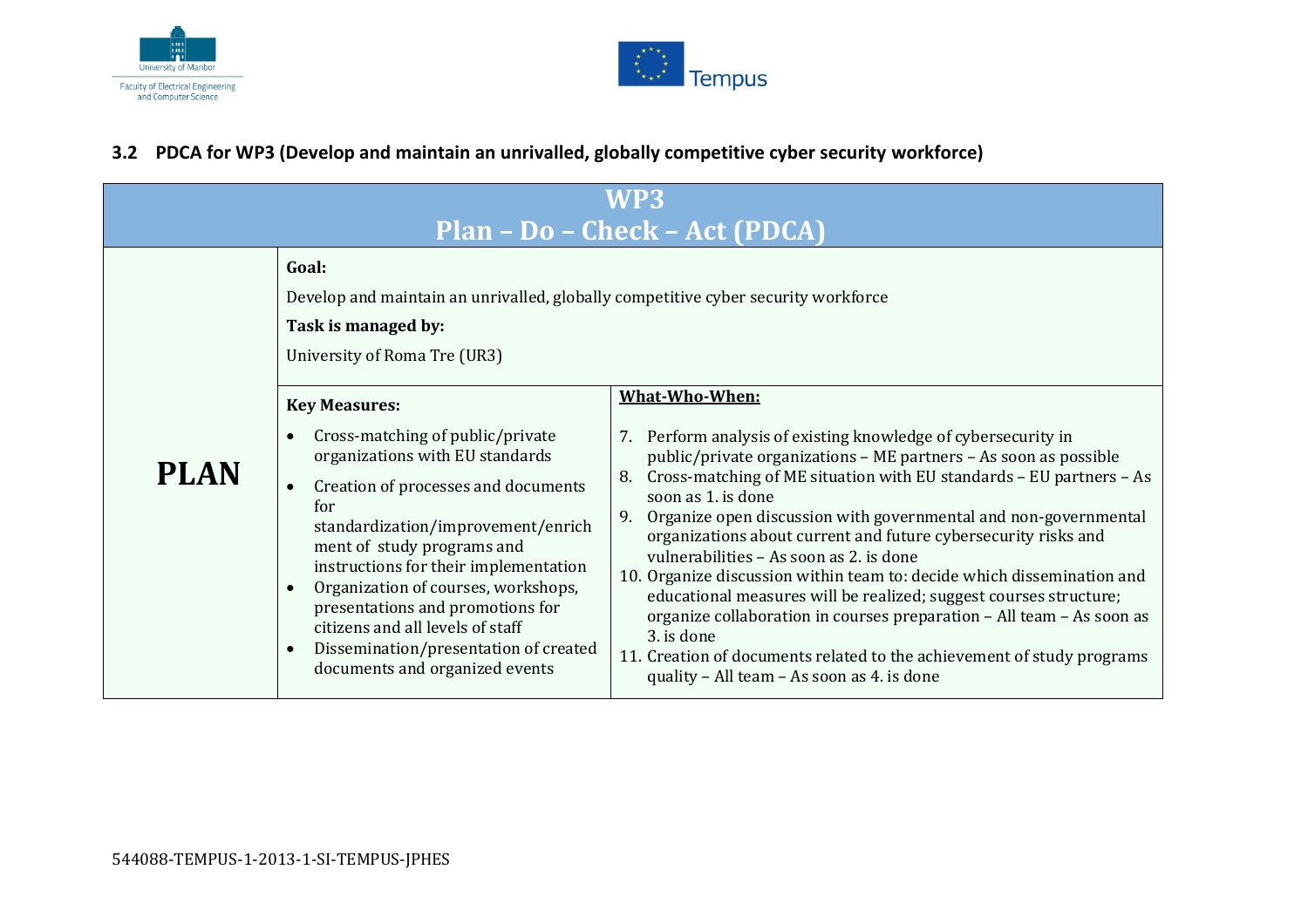



#### **3.2 PDCA for WP3 (Develop and maintain an unrivalled, globally competitive cyber security workforce)**

<span id="page-9-0"></span>

| WP3<br>Plan - Do - Check - Act (PDCA) |                                                                                                                                                                                                                                                                                                                                                                                                                          |                                                                                                                                                                                                                                                                                                                                                                                                                                                                                                                                                                                                                                                                                                                                                                                          |
|---------------------------------------|--------------------------------------------------------------------------------------------------------------------------------------------------------------------------------------------------------------------------------------------------------------------------------------------------------------------------------------------------------------------------------------------------------------------------|------------------------------------------------------------------------------------------------------------------------------------------------------------------------------------------------------------------------------------------------------------------------------------------------------------------------------------------------------------------------------------------------------------------------------------------------------------------------------------------------------------------------------------------------------------------------------------------------------------------------------------------------------------------------------------------------------------------------------------------------------------------------------------------|
|                                       | Goal:<br>Develop and maintain an unrivalled, globally competitive cyber security workforce<br>Task is managed by:<br>University of Roma Tre (UR3)<br><b>Key Measures:</b>                                                                                                                                                                                                                                                | What-Who-When:                                                                                                                                                                                                                                                                                                                                                                                                                                                                                                                                                                                                                                                                                                                                                                           |
| <b>PLAN</b>                           | Cross-matching of public/private<br>organizations with EU standards<br>Creation of processes and documents<br>for<br>standardization/improvement/enrich<br>ment of study programs and<br>instructions for their implementation<br>Organization of courses, workshops,<br>presentations and promotions for<br>citizens and all levels of staff<br>Dissemination/presentation of created<br>documents and organized events | 7. Perform analysis of existing knowledge of cybersecurity in<br>public/private organizations - ME partners - As soon as possible<br>Cross-matching of ME situation with EU standards - EU partners - As<br>8.<br>soon as 1. is done<br>Organize open discussion with governmental and non-governmental<br>9.<br>organizations about current and future cybersecurity risks and<br>vulnerabilities - As soon as 2. is done<br>10. Organize discussion within team to: decide which dissemination and<br>educational measures will be realized; suggest courses structure;<br>organize collaboration in courses preparation - All team - As soon as<br>3. is done<br>11. Creation of documents related to the achievement of study programs<br>quality - All team - As soon as 4. is done |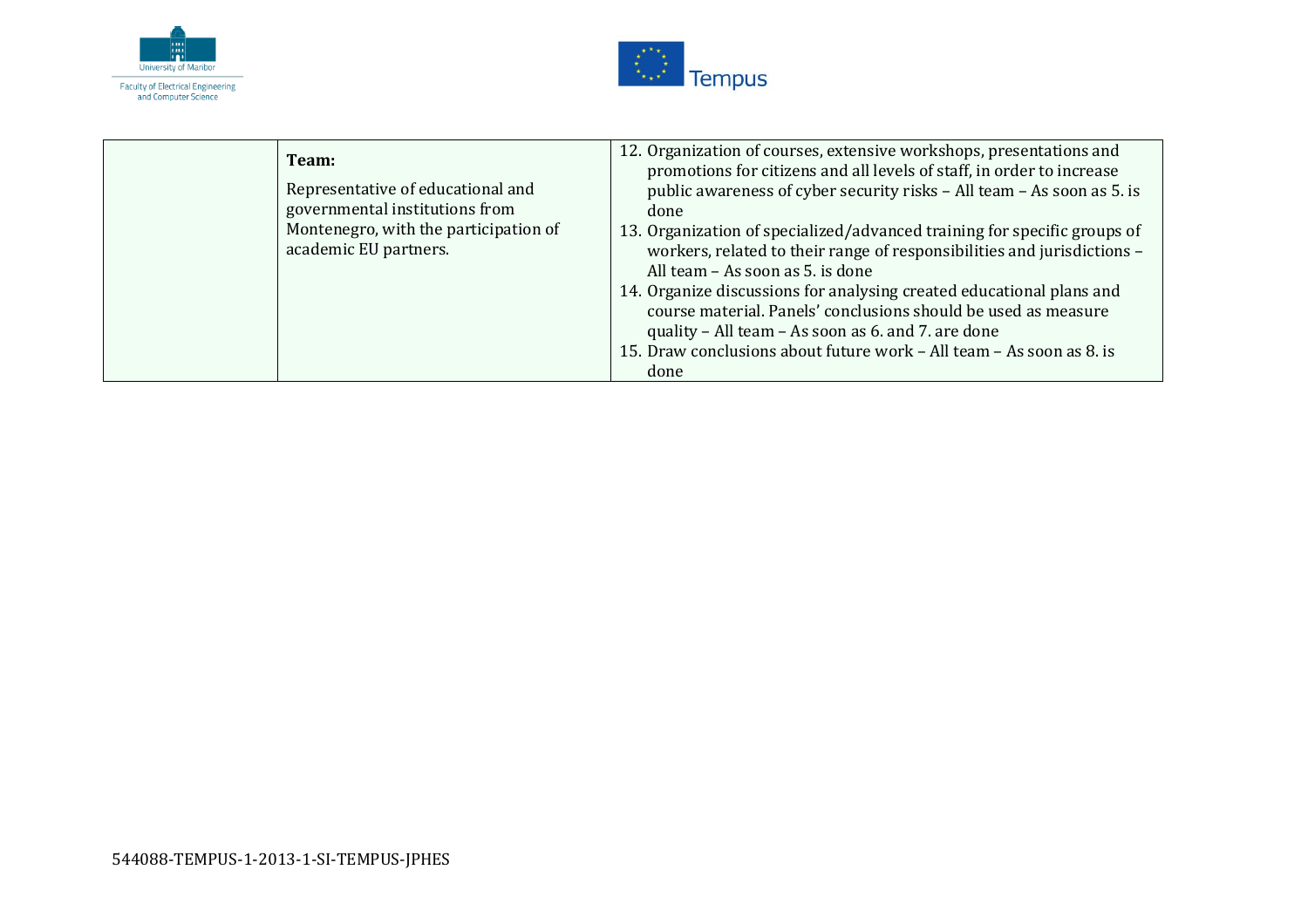



| Team:<br>Representative of educational and<br>governmental institutions from<br>Montenegro, with the participation of<br>academic EU partners. | 12. Organization of courses, extensive workshops, presentations and<br>promotions for citizens and all levels of staff, in order to increase<br>public awareness of cyber security risks - All team - As soon as 5. is<br>done<br>13. Organization of specialized/advanced training for specific groups of<br>workers, related to their range of responsibilities and jurisdictions -<br>All team - As soon as 5. is done<br>14. Organize discussions for analysing created educational plans and<br>course material. Panels' conclusions should be used as measure<br>quality - All team - As soon as 6. and 7. are done<br>15. Draw conclusions about future work - All team - As soon as 8. is<br>done |
|------------------------------------------------------------------------------------------------------------------------------------------------|-----------------------------------------------------------------------------------------------------------------------------------------------------------------------------------------------------------------------------------------------------------------------------------------------------------------------------------------------------------------------------------------------------------------------------------------------------------------------------------------------------------------------------------------------------------------------------------------------------------------------------------------------------------------------------------------------------------|
|------------------------------------------------------------------------------------------------------------------------------------------------|-----------------------------------------------------------------------------------------------------------------------------------------------------------------------------------------------------------------------------------------------------------------------------------------------------------------------------------------------------------------------------------------------------------------------------------------------------------------------------------------------------------------------------------------------------------------------------------------------------------------------------------------------------------------------------------------------------------|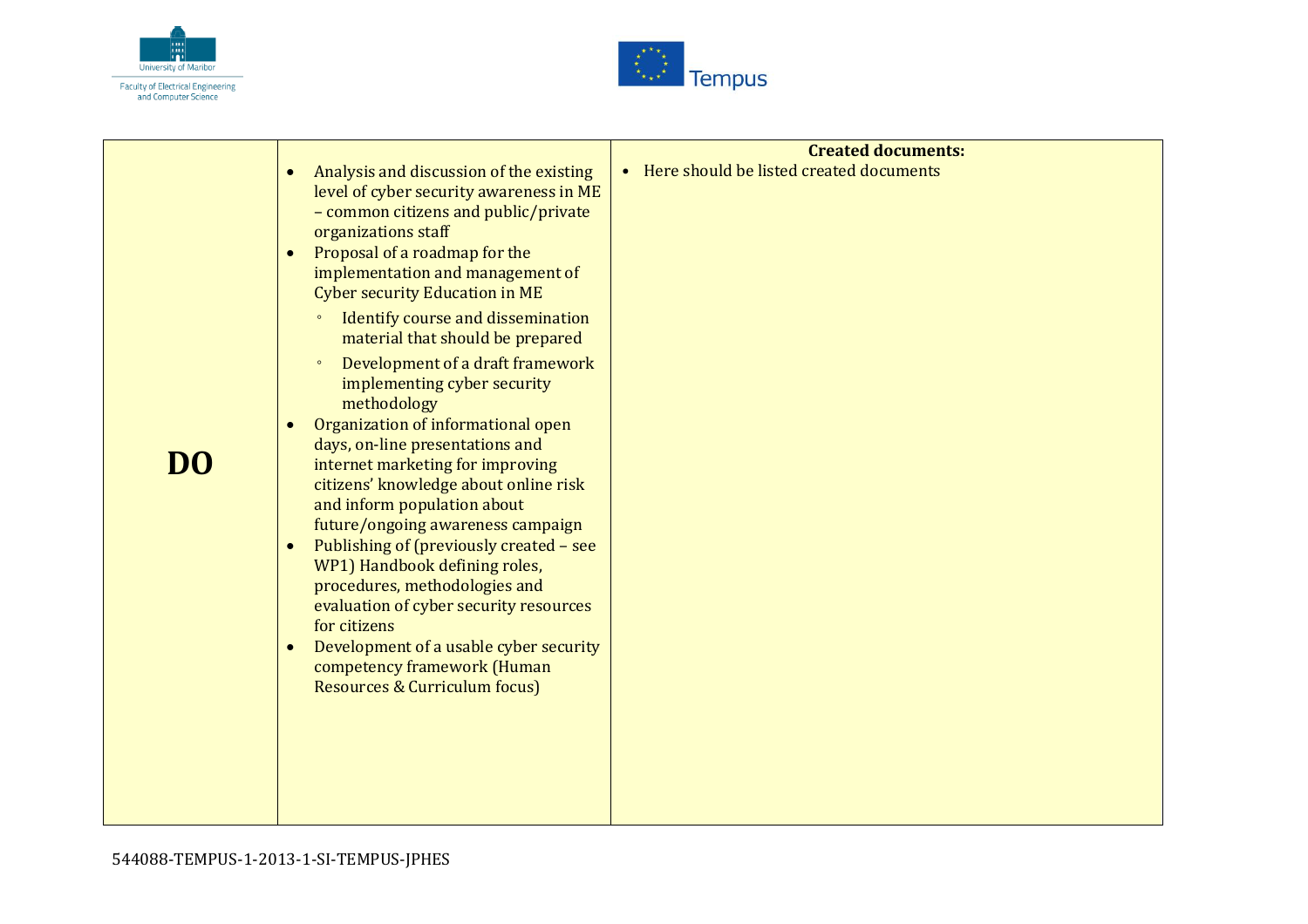



| DI 0 | Analysis and discussion of the existing<br>$\bullet$<br>level of cyber security awareness in ME<br>- common citizens and public/private<br>organizations staff<br>Proposal of a roadmap for the<br>$\bullet$<br>implementation and management of<br><b>Cyber security Education in ME</b><br>Identify course and dissemination<br>$\circ$<br>material that should be prepared<br>Development of a draft framework<br>$\circ$<br>implementing cyber security<br>methodology<br>Organization of informational open<br>$\bullet$<br>days, on-line presentations and<br>internet marketing for improving<br>citizens' knowledge about online risk<br>and inform population about<br>future/ongoing awareness campaign<br>Publishing of (previously created - see<br>$\bullet$<br>WP1) Handbook defining roles,<br>procedures, methodologies and<br>evaluation of cyber security resources<br>for citizens<br>Development of a usable cyber security<br>$\bullet$<br>competency framework (Human<br>Resources & Curriculum focus) | <b>Created documents:</b><br>• Here should be listed created documents |
|------|------------------------------------------------------------------------------------------------------------------------------------------------------------------------------------------------------------------------------------------------------------------------------------------------------------------------------------------------------------------------------------------------------------------------------------------------------------------------------------------------------------------------------------------------------------------------------------------------------------------------------------------------------------------------------------------------------------------------------------------------------------------------------------------------------------------------------------------------------------------------------------------------------------------------------------------------------------------------------------------------------------------------------|------------------------------------------------------------------------|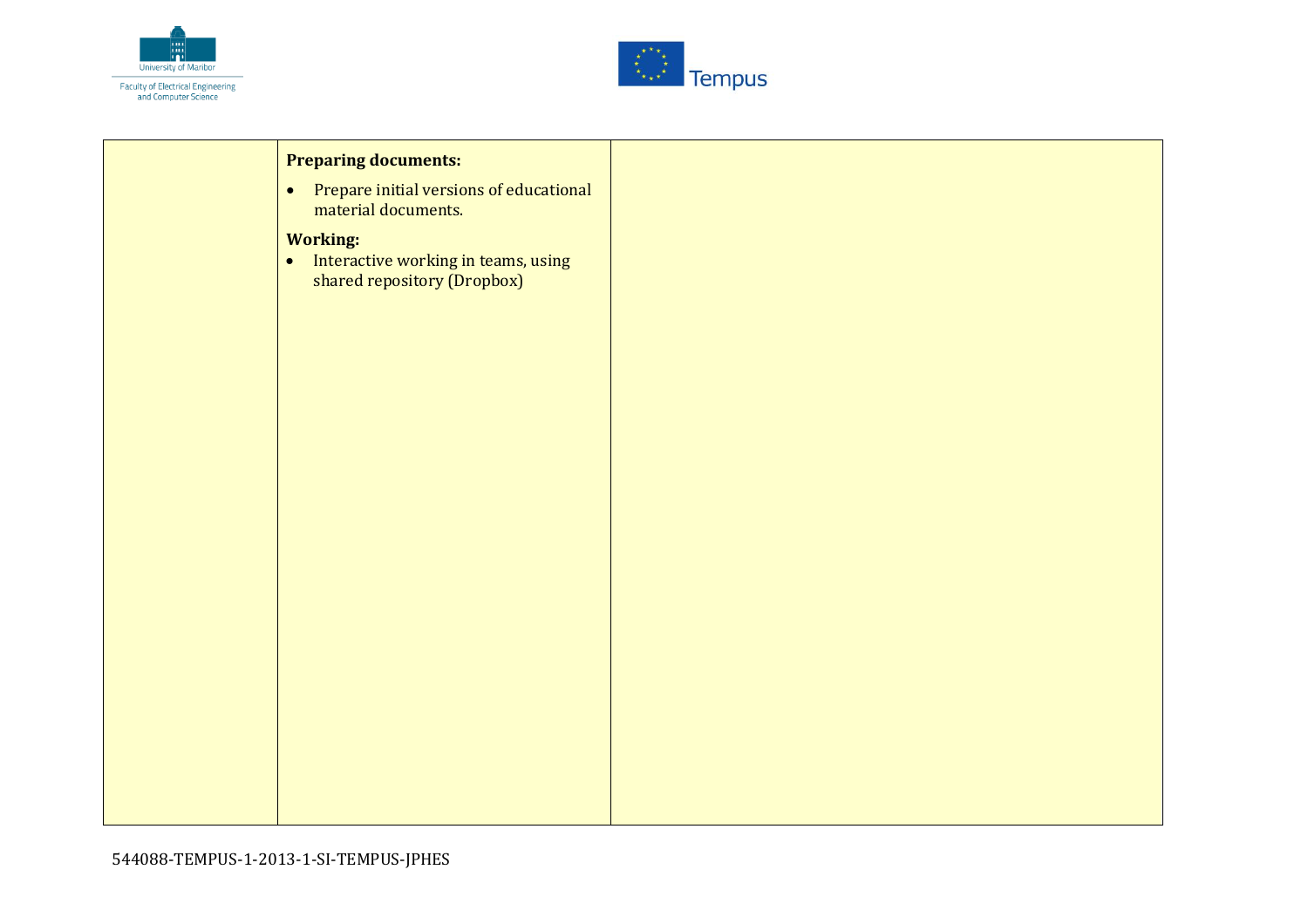



| <b>Preparing documents:</b>                                                                        |
|----------------------------------------------------------------------------------------------------|
| Prepare initial versions of educational<br>$\bullet$<br>material documents.                        |
| <b>Working:</b><br>Interactive working in teams, using<br>$\bullet$<br>shared repository (Dropbox) |
|                                                                                                    |
|                                                                                                    |
|                                                                                                    |
|                                                                                                    |
|                                                                                                    |
|                                                                                                    |
|                                                                                                    |
|                                                                                                    |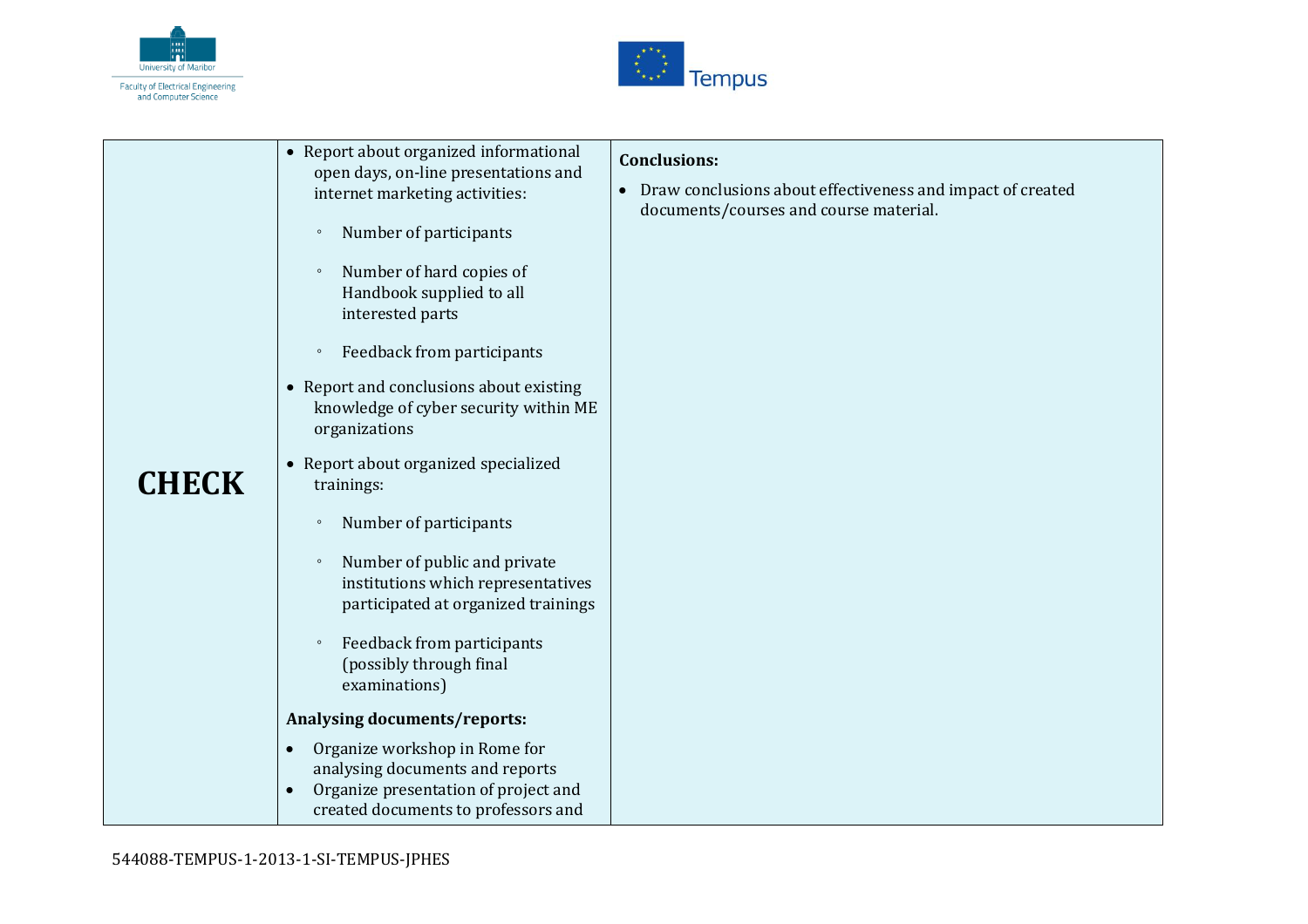



| • Report about organized informational<br><b>Conclusions:</b><br>open days, on-line presentations and<br>Draw conclusions about effectiveness and impact of created<br>$\bullet$<br>internet marketing activities:<br>documents/courses and course material.<br>Number of participants<br>$\circ$<br>Number of hard copies of<br>$\circ$<br>Handbook supplied to all<br>interested parts                                                                                                                                                                                                                                                 |  |  |
|------------------------------------------------------------------------------------------------------------------------------------------------------------------------------------------------------------------------------------------------------------------------------------------------------------------------------------------------------------------------------------------------------------------------------------------------------------------------------------------------------------------------------------------------------------------------------------------------------------------------------------------|--|--|
| Feedback from participants<br>$\circ$<br>• Report and conclusions about existing<br>knowledge of cyber security within ME<br>organizations<br>• Report about organized specialized<br><b>CHECK</b><br>trainings:<br>Number of participants<br>$\circ$<br>Number of public and private<br>$\circ$<br>institutions which representatives<br>participated at organized trainings<br>Feedback from participants<br>$\circ$<br>(possibly through final<br>examinations)<br>Analysing documents/reports:<br>Organize workshop in Rome for<br>$\bullet$<br>analysing documents and reports<br>Organize presentation of project and<br>$\bullet$ |  |  |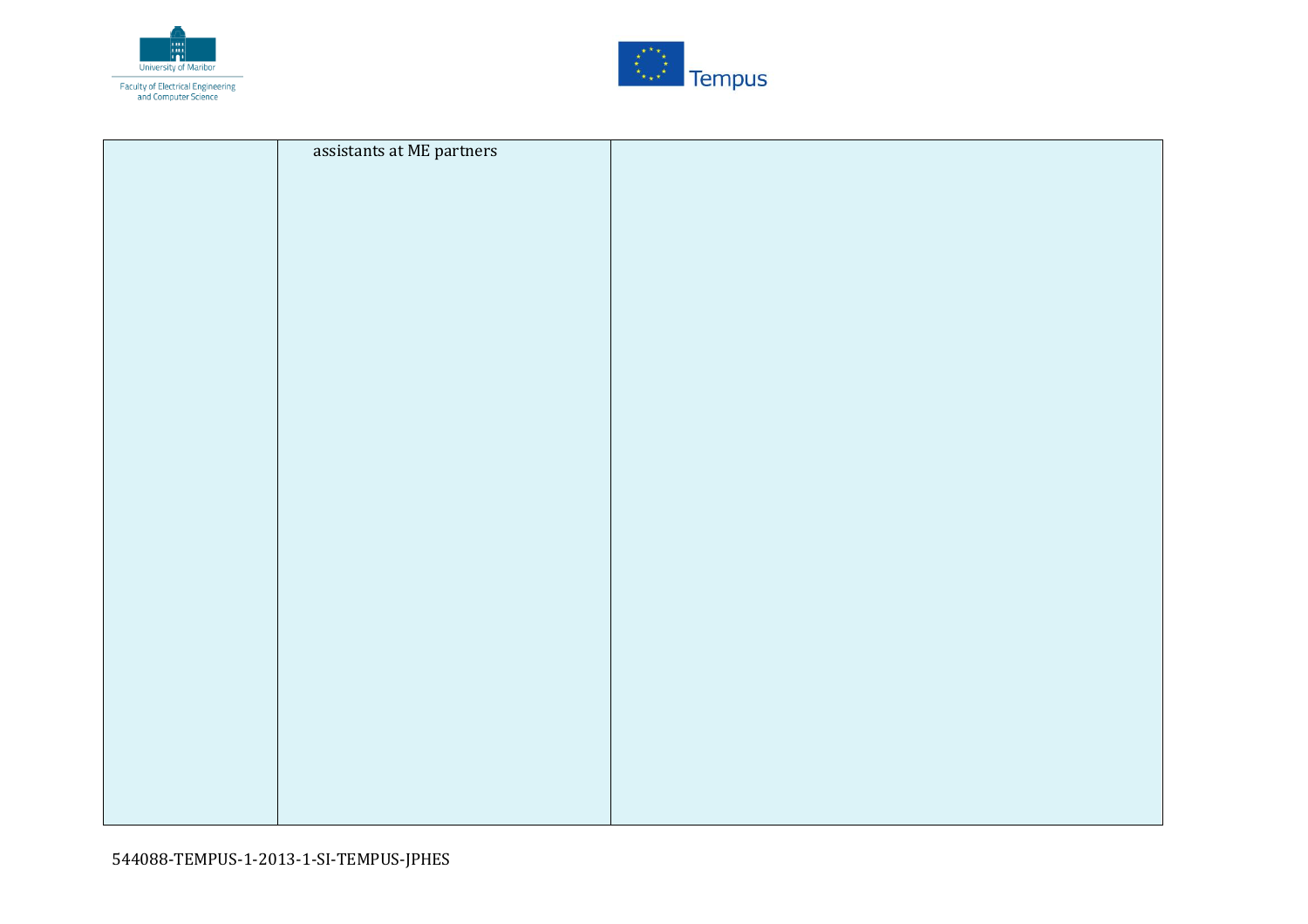



| assistants at ME partners |  |
|---------------------------|--|
|                           |  |
|                           |  |
|                           |  |
|                           |  |
|                           |  |
|                           |  |
|                           |  |
|                           |  |
|                           |  |
|                           |  |
|                           |  |
|                           |  |
|                           |  |
|                           |  |
|                           |  |
|                           |  |
|                           |  |
|                           |  |
|                           |  |
|                           |  |
|                           |  |
|                           |  |
|                           |  |
|                           |  |
|                           |  |
|                           |  |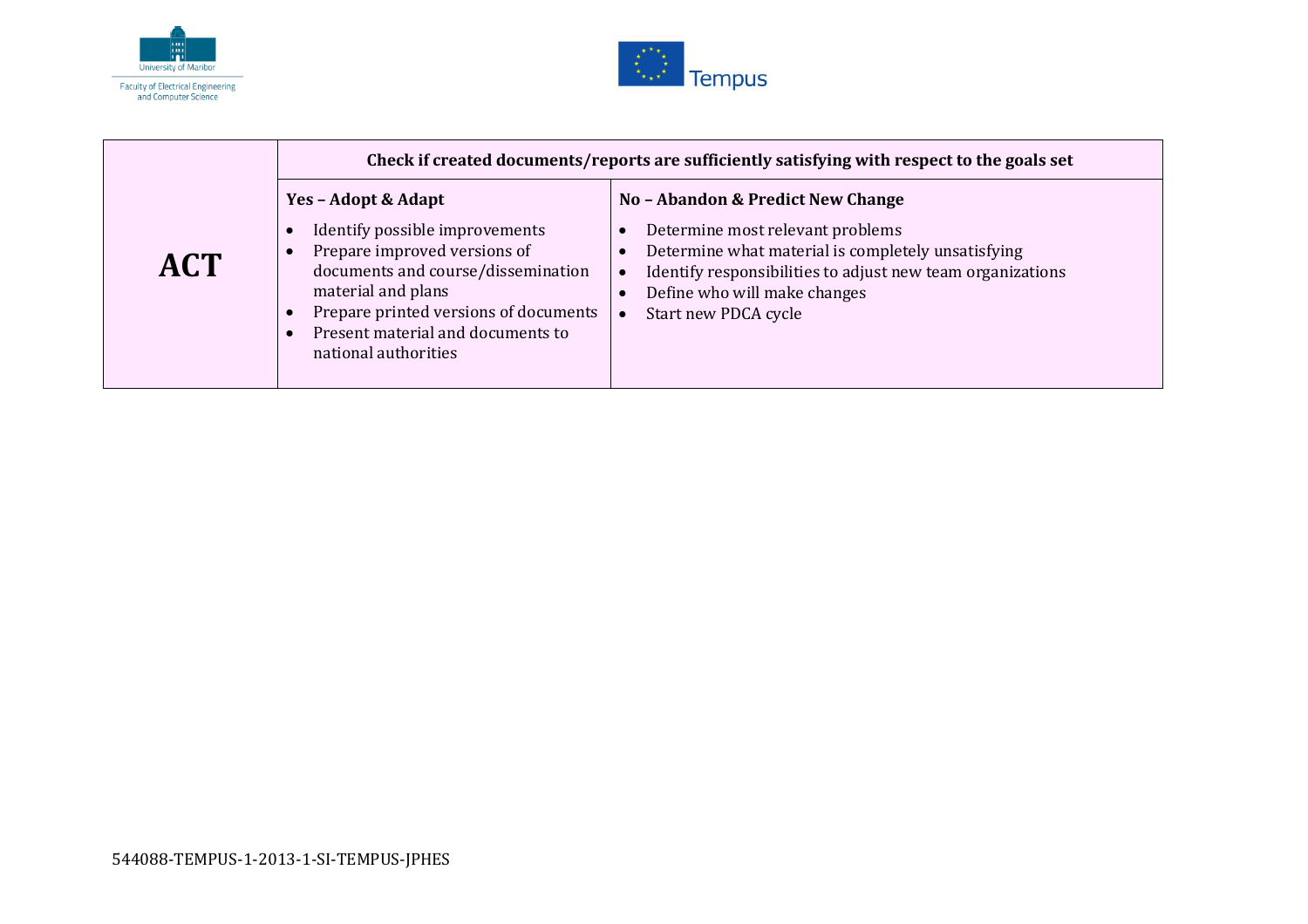



|            | Check if created documents/reports are sufficiently satisfying with respect to the goals set                                                                                                                                                            |                                                                                                                                                                                                                                                   |
|------------|---------------------------------------------------------------------------------------------------------------------------------------------------------------------------------------------------------------------------------------------------------|---------------------------------------------------------------------------------------------------------------------------------------------------------------------------------------------------------------------------------------------------|
| <b>ACT</b> | Yes - Adopt & Adapt<br>Identify possible improvements<br>Prepare improved versions of<br>documents and course/dissemination<br>material and plans<br>Prepare printed versions of documents<br>Present material and documents to<br>national authorities | No - Abandon & Predict New Change<br>Determine most relevant problems<br>Determine what material is completely unsatisfying<br>Identify responsibilities to adjust new team organizations<br>Define who will make changes<br>Start new PDCA cycle |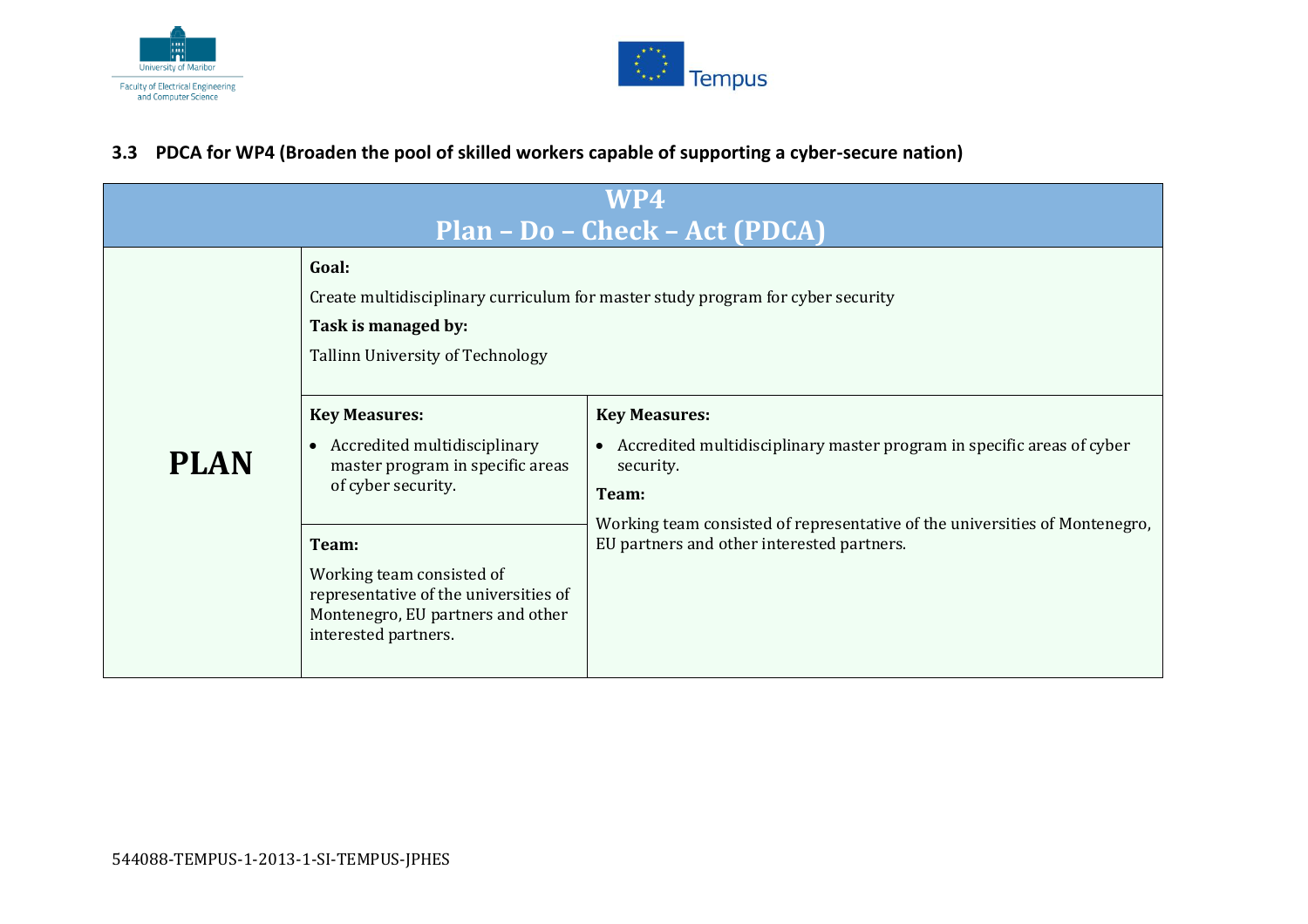



#### **3.3 PDCA for WP4 (Broaden the pool of skilled workers capable of supporting a cyber-secure nation)**

<span id="page-16-0"></span>

| WP4<br>Plan - Do - Check - Act (PDCA) |                                                                                                                                                     |                                                                                                                           |  |
|---------------------------------------|-----------------------------------------------------------------------------------------------------------------------------------------------------|---------------------------------------------------------------------------------------------------------------------------|--|
|                                       | Goal:<br>Create multidisciplinary curriculum for master study program for cyber security<br>Task is managed by:<br>Tallinn University of Technology |                                                                                                                           |  |
|                                       | <b>Key Measures:</b>                                                                                                                                | <b>Key Measures:</b>                                                                                                      |  |
| <b>PLAN</b>                           | • Accredited multidisciplinary<br>master program in specific areas<br>of cyber security.                                                            | • Accredited multidisciplinary master program in specific areas of cyber<br>security.                                     |  |
|                                       |                                                                                                                                                     | Team:                                                                                                                     |  |
|                                       | Team:                                                                                                                                               | Working team consisted of representative of the universities of Montenegro,<br>EU partners and other interested partners. |  |
|                                       | Working team consisted of<br>representative of the universities of<br>Montenegro, EU partners and other<br>interested partners.                     |                                                                                                                           |  |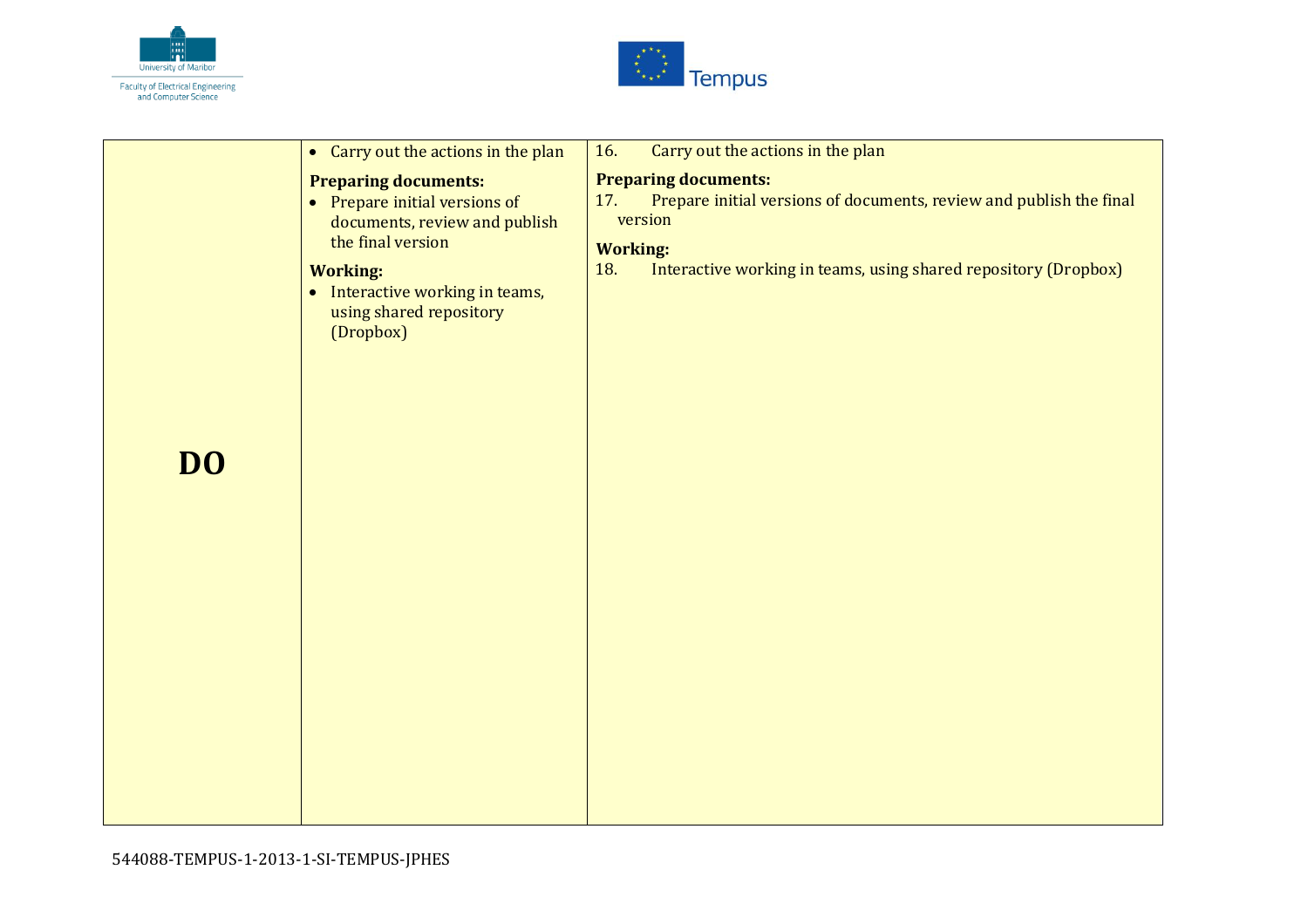



|    | • Carry out the actions in the plan                                                                                                                                                                              | Carry out the actions in the plan<br>16.                                                                                                                                                                          |
|----|------------------------------------------------------------------------------------------------------------------------------------------------------------------------------------------------------------------|-------------------------------------------------------------------------------------------------------------------------------------------------------------------------------------------------------------------|
| DO | <b>Preparing documents:</b><br>• Prepare initial versions of<br>documents, review and publish<br>the final version<br><b>Working:</b><br>• Interactive working in teams,<br>using shared repository<br>(Dropbox) | <b>Preparing documents:</b><br>Prepare initial versions of documents, review and publish the final<br>17.<br>version<br><b>Working:</b><br>Interactive working in teams, using shared repository (Dropbox)<br>18. |
|    |                                                                                                                                                                                                                  |                                                                                                                                                                                                                   |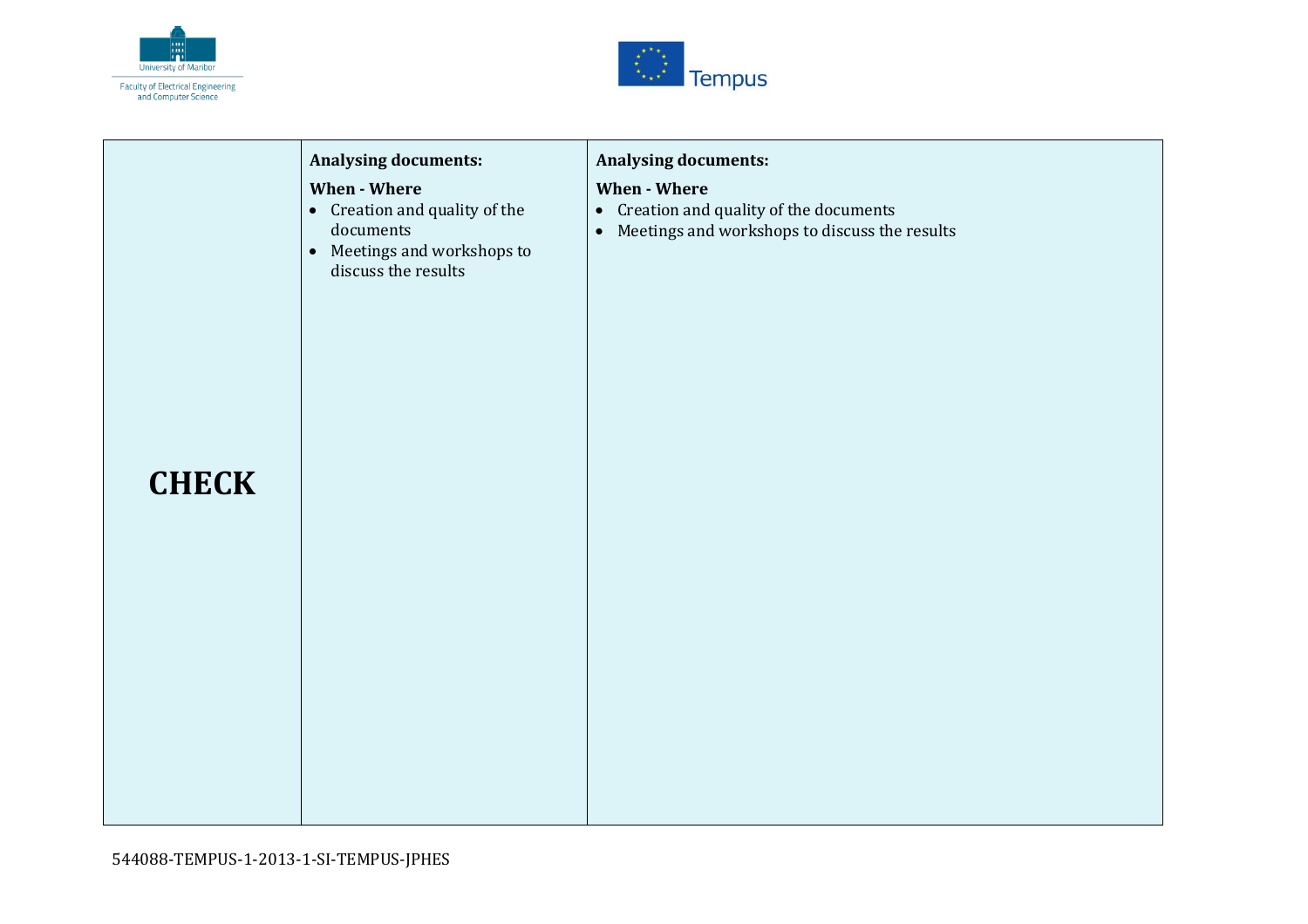



| <b>CHECK</b> | <b>Analysing documents:</b><br>When - Where<br>• Creation and quality of the<br>documents<br>• Meetings and workshops to<br>discuss the results | <b>Analysing documents:</b><br>When - Where<br>• Creation and quality of the documents<br>Meetings and workshops to discuss the results<br>$\bullet$ |
|--------------|-------------------------------------------------------------------------------------------------------------------------------------------------|------------------------------------------------------------------------------------------------------------------------------------------------------|
|              |                                                                                                                                                 |                                                                                                                                                      |